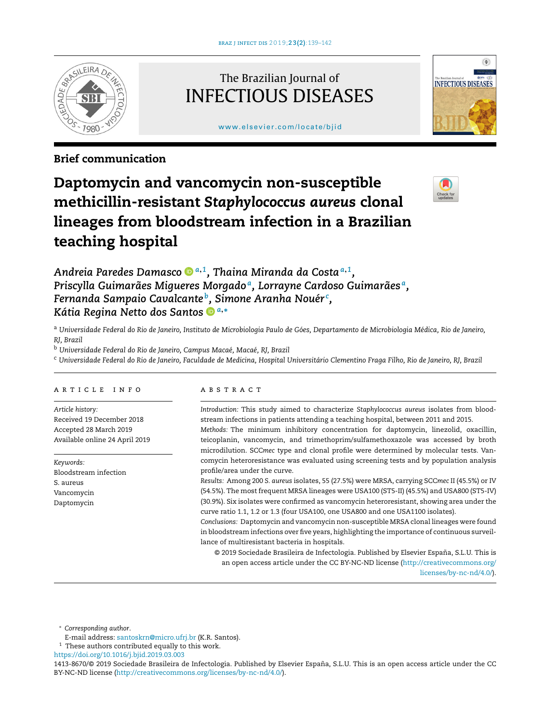

## The Brazilian Journal of INFECTIOUS DISEASES

[www.elsevier.com/locate/bjid](http://www.elsevier.com/locate/bjid)



### Brief communication

# Daptomycin and vancomycin non-susceptible methicillin-resistant *Staphylococcus aureus* clonal lineages from bloodstream infection in a Brazilian teaching hospital



*Andreia Paredes Damasc[o](https://orcid.org/0000-0001-8104-2816) <sup>a</sup>*,*<sup>1</sup> , Thaina Miranda da Costa<sup>a</sup>*,*<sup>1</sup> , Priscylla Guimarães Migueres Morgado <sup>a</sup> , Lorrayne Cardoso Guimarães <sup>a</sup> , Fernanda Sampaio Cavalcante <sup>b</sup> , Simone Aranha Nouér <sup>c</sup> , Kátia Regina Netto dos Santos <sup>a</sup>*,<sup>∗</sup>

a Universidade Federal do Rio de Janeiro, Instituto de Microbiologia Paulo de Góes, Departamento de Microbiologia Médica, Rio de Janeiro, *RJ, Brazil*

<sup>b</sup> *Universidade Federal do Rio de Janeiro, Campus Macaé, Macaé, RJ, Brazil*

c Universidade Federal do Rio de Janeiro, Faculdade de Medicina, Hospital Universitário Clementino Fraga Filho, Rio de Janeiro, RJ, Brazil

#### a r t i c l e i n f o

*Article history:* Received 19 December 2018 Accepted 28 March 2019 Available online 24 April 2019

*Keywords:* Bloodstream infection S. aureus Vancomycin Daptomycin

#### A B S T R A C T

*Introduction:* This study aimed to characterize *Staphylococcus aureus* isolates from bloodstream infections in patients attending a teaching hospital, between 2011 and 2015.

*Methods:* The minimum inhibitory concentration for daptomycin, linezolid, oxacillin, teicoplanin, vancomycin, and trimethoprim/sulfamethoxazole was accessed by broth microdilution. SCC*mec* type and clonal profile were determined by molecular tests. Vancomycin heteroresistance was evaluated using screening tests and by population analysis profile/area under the curve.

*Results:* Among 200 *S. aureus* isolates, 55 (27.5%) were MRSA, carrying SCC*mec* II (45.5%) or IV (54.5%). The most frequent MRSA lineages were USA100 (ST5-II) (45.5%) and USA800 (ST5-IV) (30.9%). Six isolates were confirmed as vancomycin heteroresistant, showing area under the curve ratio 1.1, 1.2 or 1.3 (four USA100, one USA800 and one USA1100 isolates).

*Conclusions:* Daptomycin and vancomycin non-susceptible MRSA clonal lineages were found in bloodstream infections over five years, highlighting the importance of continuous surveillance of multiresistant bacteria in hospitals.

© 2019 Sociedade Brasileira de Infectologia. Published by Elsevier España, S.L.U. This is an open access article under the CC BY-NC-ND license [\(http://creativecommons.org/](http://creativecommons.org/licenses/by-nc-nd/4.0/) [licenses/by-nc-nd/4.0/\)](http://creativecommons.org/licenses/by-nc-nd/4.0/).

<sup>∗</sup> *Corresponding author*.

E-mail address: [santoskrn@micro.ufrj.br](mailto:santoskrn@micro.ufrj.br) (K.R. Santos).

 $^{\rm 1}$  These authors contributed equally to this work.

<https://doi.org/10.1016/j.bjid.2019.03.003>

<sup>1413-8670/© 2019</sup> Sociedade Brasileira de Infectologia. Published by Elsevier España, S.L.U. This is an open access article under the CC BY-NC-ND license (<http://creativecommons.org/licenses/by-nc-nd/4.0/>).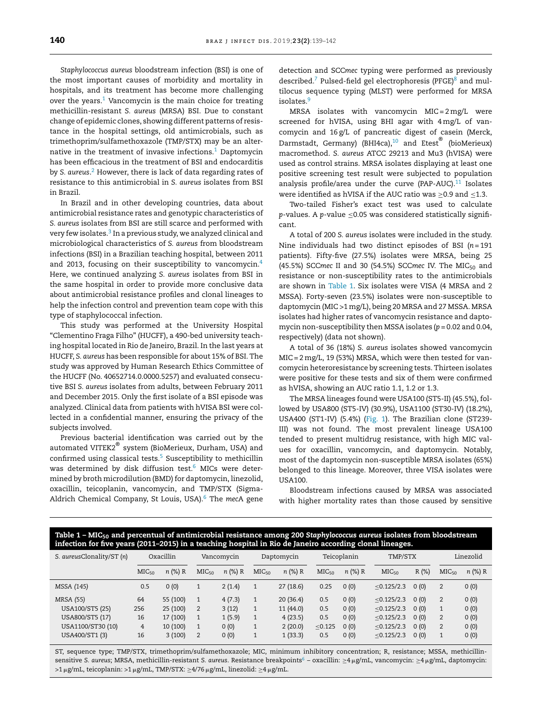*Staphylococcus aureus* bloodstream infection (BSI) is one of the most important causes of morbidity and mortality in hospitals, and its treatment has become more challenging over the years. $1$  Vancomycin is the main choice for treating methicillin-resistant *S. aureus* (MRSA) BSI. Due to constant change of epidemic clones, showing different patterns of resistance in the hospital settings, old antimicrobials, such as trimethoprim/sulfamethoxazole (TMP/STX) may be an alternative in the treatment of invasive infections. $1$  Daptomycin has been efficacious in the treatment of BSI and endocarditis by *S. aureus*. [2](#page-3-0) However, there is lack of data regarding rates of resistance to this antimicrobial in *S. aureus* isolates from BSI in Brazil.

In Brazil and in other developing countries, data about antimicrobial resistance rates and genotypic characteristics of *S. aureus* isolates from BSI are still scarce and performed with very few isolates.<sup>3</sup> [In](#page-3-0) a previous study, we analyzed clinical and microbiological characteristics of *S. aureus* from bloodstream infections (BSI) in a Brazilian teaching hospital, between 2011 and 2013, focusing on their susceptibility to vancomycin.<sup>[4](#page-3-0)</sup> Here, we continued analyzing *S. aureus* isolates from BSI in the same hospital in order to provide more conclusive data about antimicrobial resistance profiles and clonal lineages to help the infection control and prevention team cope with this type of staphylococcal infection.

This study was performed at the University Hospital "Clementino Fraga Filho" (HUCFF), a 490-bed university teaching hospital located in Rio de Janeiro, Brazil. In the last years at HUCFF, *S. aureus* has been responsible for about 15% of BSI. The study was approved by Human Research Ethics Committee of the HUCFF (No. 40652714.0.0000.5257) and evaluated consecutive BSI *S. aureus* isolates from adults, between February 2011 and December 2015. Only the first isolate of a BSI episode was analyzed. Clinical data from patients with hVISA BSI were collected in a confidential manner, ensuring the privacy of the subjects involved.

Previous bacterial identification was carried out by the automated VITEK2 $^\circ$  system (BioMerieux, Durham, USA) and confirmed using classical tests.<sup>[5](#page-3-0)</sup> Susceptibility to methicillin was determined by disk diffusion test.<sup>[6](#page-3-0)</sup> MICs were determined by broth microdilution (BMD) for daptomycin, linezolid, oxacillin, teicoplanin, vancomycin, and TMP/STX (Sigma-Aldrich Chemical Company, St Louis, USA).[6](#page-3-0) The *mec*A gene detection and SCC*mec* typing were performed as previously described.<sup>[7](#page-3-0)</sup> Pulsed-field gel electrophoresis (PFGE) $8$  and multilocus sequence typing (MLST) were performed for MRSA isolates.<sup>[9](#page-3-0)</sup>

MRSA isolates with vancomycin MIC= 2 mg/L were screened for hVISA, using BHI agar with 4 mg/L of vancomycin and 16 g/L of pancreatic digest of casein (Merck, Darmstadt, Germany) (BHI4ca), $^{10}$  $^{10}$  $^{10}$  and Etest $^\circledR$  (bioMerieux) macromethod. *S. aureus* ATCC 29213 and Mu3 (hVISA) were used as control strains. MRSA isolates displaying at least one positive screening test result were subjected to population analysis profile/area under the curve (PAP-AUC). $11$  Isolates were identified as hVISA if the AUC ratio was  $\geq$ 0.9 and  $\leq$ 1.3.

Two-tailed Fisher's exact test was used to calculate *p*-values. A *p*-value ≤0.05 was considered statistically significant.

A total of 200 *S. aureus* isolates were included in the study. Nine individuals had two distinct episodes of BSI (*n* = 191 patients). Fifty-five (27.5%) isolates were MRSA, being 25 (45.5%) SCCmec II and 30 (54.5%) SCCmec IV. The MIC<sub>50</sub> and resistance or non-susceptibility rates to the antimicrobials are shown in Table 1. Six isolates were VISA (4 MRSA and 2 MSSA). Forty-seven (23.5%) isolates were non-susceptible to daptomycin (MIC >1mg/L), being 20 MRSA and 27 MSSA. MRSA isolates had higher rates of vancomycin resistance and daptomycin non-susceptibility then MSSA isolates (*p* = 0.02 and 0.04, respectively) (data not shown).

A total of 36 (18%) *S. aureus* isolates showed vancomycin MIC= 2mg/L, 19 (53%) MRSA, which were then tested for vancomycin heteroresistance by screening tests. Thirteen isolates were positive for these tests and six of them were confirmed as hVISA, showing an AUC ratio 1.1, 1.2 or 1.3.

The MRSA lineages found were USA100 (ST5-II) (45.5%), followed by USA800 (ST5-IV) (30.9%), USA1100 (ST30-IV) (18.2%), USA400 (ST1-IV) (5.4%) [\(Fig.](#page-2-0) 1). The Brazilian clone (ST239- III) was not found. The most prevalent lineage USA100 tended to present multidrug resistance, with high MIC values for oxacillin, vancomycin, and daptomycin. Notably, most of the daptomycin non-susceptible MRSA isolates (65%) belonged to this lineage. Moreover, three VISA isolates were USA100.

Bloodstream infections caused by MRSA was associated with higher mortality rates than those caused by sensitive

| Table $1$ – MIC <sub>50</sub> and percentual of antimicrobial resistance among 200 Staphylococcus aureus isolates from bloodstream |
|------------------------------------------------------------------------------------------------------------------------------------|
| infection for five years (2011–2015) in a teaching hospital in Rio de Janeiro according clonal lineages.                           |

| S. aureusClonality/ST (n) | Oxacillin         |           | Vancomycin        |           | Daptomycin        |           | Teicoplanin       |           | TMP/STX           |      | Linezolid         |           |
|---------------------------|-------------------|-----------|-------------------|-----------|-------------------|-----------|-------------------|-----------|-------------------|------|-------------------|-----------|
|                           | MIC <sub>50</sub> | $n$ (%) R | MIC <sub>50</sub> | $n$ (%) R | MIC <sub>50</sub> | $n$ (%) R | MIC <sub>50</sub> | $n$ (%) R | MIC <sub>50</sub> | R(%) | MIC <sub>50</sub> | $n$ (%) R |
| MSSA (145)                | 0.5               | 0(0)      |                   | 2(1.4)    | 1                 | 27(18.6)  | 0.25              | 0(0)      | < 0.125/2.3       | 0(0) | $\overline{2}$    | 0(0)      |
| <b>MRSA (55)</b>          | 64                | 55 (100)  |                   | 4(7.3)    | 1                 | 20(36.4)  | 0.5               | 0(0)      | < 0.125/2.3       | 0(0) | $\overline{2}$    | 0(0)      |
| USA100/ST5 (25)           | 256               | 25 (100)  | 2                 | 3(12)     | $\mathbf{1}$      | 11(44.0)  | 0.5               | 0(0)      | < 0.125/2.3       | 0(0) | 1                 | 0(0)      |
| USA800/ST5 (17)           | 16                | 17 (100)  |                   | 1(5.9)    |                   | 4(23.5)   | 0.5               | 0(0)      | < 0.125/2.3       | 0(0) | $\overline{2}$    | 0(0)      |
| USA1100/ST30 (10)         | $\overline{4}$    | 10(100)   |                   | 0(0)      | 1                 | 2(20.0)   | < 0.125           | 0(0)      | < 0.125/2.3       | 0(0) | 2                 | 0(0)      |
| USA400/ST1 (3)            | 16                | 3(100)    | 2                 | 0(0)      |                   | 1(33.3)   | 0.5               | 0(0)      | < 0.125/2.3       | 0(0) | $\mathbf{1}$      | 0(0)      |
|                           |                   |           |                   |           |                   |           |                   |           |                   |      |                   |           |

ST, sequence type; TMP/STX, trimethoprim/sulfamethoxazole; MIC, minimum inhibitory concentration; R, resistance; MSSA, methicillin-sensitive S. aureus; MRSA, methicillin-resistant S. aureus. Resistance breakpoints<sup>6</sup> [–](#page-3-0) oxacillin: ≥4µg/mL, vancomycin: ≥4µg/mL, daptomycin: >1 μg/mL, teicoplanin: >1 μg/mL, TMP/STX: ≥4/76 μg/mL, linezolid: ≥4 μg/mL.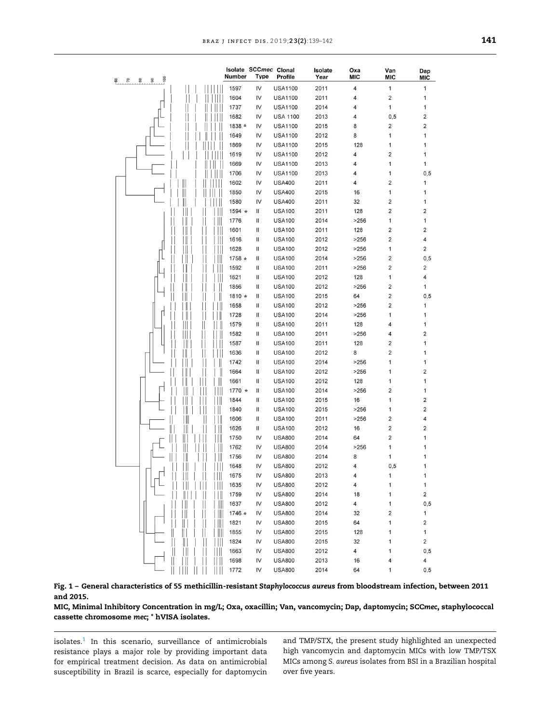<span id="page-2-0"></span>

|                                            |                         |                      | Isolate SCCmec Clonal | Isolate | Oxa  | Van                     | Dap                     |
|--------------------------------------------|-------------------------|----------------------|-----------------------|---------|------|-------------------------|-------------------------|
| $\frac{8}{1}$<br>80<br>$\frac{8}{2}$<br>P. | Number                  | <b>Type</b>          | Profile               | Year    | MIC  | MIC                     | <b>MIC</b>              |
|                                            | 1597                    | IV                   | <b>USA1100</b>        | 2011    | 4    | $\mathbf{1}$            | 1                       |
|                                            | 1604                    | IV                   | <b>USA1100</b>        | 2011    | 4    | 2                       | 1                       |
|                                            | 1737                    | IV                   | <b>USA1100</b>        | 2014    | 4    | 1                       | 1                       |
|                                            | 1682                    | IV                   | <b>USA 1100</b>       | 2013    | 4    | 0, 5                    | $\overline{\mathbf{c}}$ |
|                                            | 1838 *                  | IV                   | <b>USA1100</b>        | 2015    | 8    | 2                       | 2                       |
|                                            | 1649                    | IV                   | <b>USA1100</b>        | 2012    | 8    | 1                       | 1                       |
|                                            | 1869                    | IV                   | <b>USA1100</b>        | 2015    | 128  | 1                       | 1                       |
|                                            | 1619                    | IV                   | <b>USA1100</b>        | 2012    | 4    | $\overline{\mathbf{c}}$ | 1                       |
|                                            | 1669                    | IV                   | <b>USA1100</b>        | 2013    | 4    | 1                       | 1                       |
|                                            | 1706                    | IV                   | <b>USA1100</b>        | 2013    | 4    | 1                       | 0, 5                    |
| ║                                          | 1602                    | IV                   | <b>USA400</b>         | 2011    | 4    | 2                       | 1                       |
| Ⅲ                                          | 1850                    | IV                   | <b>USA400</b>         | 2015    | 16   | 1                       | 1                       |
|                                            | 1580                    | IV                   | <b>USA400</b>         | 2011    | 32   | 2                       | 1                       |
|                                            | 1594 *                  | Ш                    | <b>USA100</b>         | 2011    | 128  | 2                       | $\overline{2}$          |
|                                            | II<br>1776              | Ш                    | <b>USA100</b>         | 2014    | >256 | 1                       | 1                       |
|                                            | 1601<br>Ш               | Ш                    | <b>USA100</b>         | 2011    | 128  | 2                       | $\overline{\mathbf{c}}$ |
|                                            | 1616<br>Ш               | П                    | <b>USA100</b>         | 2012    | >256 | 2                       | 4                       |
|                                            | 1628<br>II.             | П                    | <b>USA100</b>         | 2012    | >256 | 1                       | 2                       |
|                                            | $\mathop{  }$<br>1758 * | Ш                    | <b>USA100</b>         | 2014    | >256 | 2                       | 0,5                     |
|                                            | 1592                    | Ш                    | <b>USA100</b>         | 2011    | >256 | 2                       | 2                       |
|                                            | 1621<br>II              | Ш                    | <b>USA100</b>         | 2012    | 128  | 1                       | 4                       |
|                                            | 1856                    | Ш                    | <b>USA100</b>         | 2012    | >256 | 2                       | 1                       |
|                                            | 1810 *                  | Ш                    | <b>USA100</b>         | 2015    | 64   | 2                       | 0, 5                    |
|                                            | 1658                    | Ш                    | <b>USA100</b>         | 2012    | >256 | 2                       | 1                       |
|                                            | 1728<br>$\mathbb{I}$    | Ш                    | <b>USA100</b>         | 2014    | >256 | 1                       | 1                       |
|                                            | 1579                    | Ш                    | <b>USA100</b>         | 2011    | 128  | 4                       | 1                       |
|                                            | 1582                    | Ш                    | <b>USA100</b>         | 2011    | >256 | 4                       | $\overline{2}$          |
|                                            | 1587                    | Ш                    | <b>USA100</b>         | 2011    | 128  | 2                       | 1                       |
|                                            | 1636                    | Ш                    | <b>USA100</b>         | 2012    | 8    | $\overline{\mathbf{c}}$ | 1                       |
|                                            | 1742<br>II              | Ш                    | <b>USA100</b>         | 2014    | >256 | 1                       | 1                       |
|                                            | 1664                    | Ш                    | <b>USA100</b>         | 2012    | >256 | 1                       | 2                       |
|                                            | Ш<br>1661               | Ш                    | <b>USA100</b>         | 2012    | 128  | 1                       | 1                       |
| $\mathbb I$                                | 1770 *                  | Ш                    | <b>USA100</b>         | 2014    | >256 | 2                       | 1                       |
|                                            | Ⅲ<br>1844               | Ш                    | <b>USA100</b>         | 2015    | 16   | 1                       | 2                       |
|                                            | 1840                    | Ш                    | <b>USA100</b>         | 2015    | >256 | 1                       | $\overline{\mathbf{c}}$ |
| I                                          | 1606<br>II              | Ш                    | <b>USA100</b>         | 2011    | >256 | 2                       | 4                       |
|                                            | $\mathbb I$<br>1626     | Ш                    | <b>USA100</b>         | 2012    | 16   | 2                       | $\overline{\mathbf{c}}$ |
|                                            | 1750<br>Ш               | IV                   | <b>USA800</b>         | 2014    | 64   | 2                       | 1                       |
|                                            | 1762<br>$\mathbb{I}$    | IV                   | <b>USA800</b>         | 2014    | >256 | 1                       |                         |
| I                                          | 1756                    | IV                   | <b>USA800</b>         | 2014    | 8    | 1                       | 1                       |
| Ш<br>Ш                                     | 1648                    | IV                   | <b>USA800</b>         | 2012    |      | 0, 5                    |                         |
| Ш                                          | 1675                    | IV                   | <b>USA800</b>         | 2013    | 4    | 1                       | 1                       |
|                                            | 1635                    | IV                   | <b>USA800</b>         | 2012    | 4    | 1                       | 1                       |
|                                            | 1759<br>Ш               | IV                   | <b>USA800</b>         | 2014    | 18   | 1                       | 2                       |
|                                            | $\mathbb{I}$<br>1637    | $\mathsf{IV}\xspace$ | <b>USA800</b>         | 2012    | 4    | 1                       | 0,5                     |
|                                            | 1746 *<br>Ш             | IV                   | <b>USA800</b>         | 2014    | 32   | 2                       | 1                       |
|                                            | 1821<br>Ш               | IV                   | <b>USA800</b>         | 2015    | 64   | 1                       | $\overline{\mathbf{c}}$ |
|                                            | 1855<br>Ш               | IV                   | <b>USA800</b>         | 2015    | 128  | 1                       | 1                       |
| II.                                        | 1824<br>II              | IV                   | <b>USA800</b>         | 2015    | 32   | 1                       | 2                       |
| Ш                                          | 1663                    | IV                   | <b>USA800</b>         | 2012    | 4    | 1                       | 0,5                     |
|                                            | 1698                    | $\mathsf{IV}$        | <b>USA800</b>         | 2013    | 16   | 4                       | 4                       |
|                                            | 1772                    | IV                   | <b>USA800</b>         | 2014    | 64   | 1                       | 0,5                     |

Fig. 1 – General characteristics of 55 methicillin-resistant *Staphylococcus aureus* from bloodstream infection, between 2011 and 2015.

MIC, Minimal Inhibitory Concentration in mg/L; Oxa, oxacillin; Van, vancomycin; Dap, daptomycin; SCC*mec*, staphylococcal cassette chromosome *mec*; \* hVISA isolates.

isolates. $^1$  $^1$  In this scenario, surveillance of antimicrobials resistance plays a major role by providing important data for empirical treatment decision. As data on antimicrobial susceptibility in Brazil is scarce, especially for daptomycin and TMP/STX, the present study highlighted an unexpected high vancomycin and daptomycin MICs with low TMP/TSX MICs among *S. aureus* isolates from BSI in a Brazilian hospital over five years.